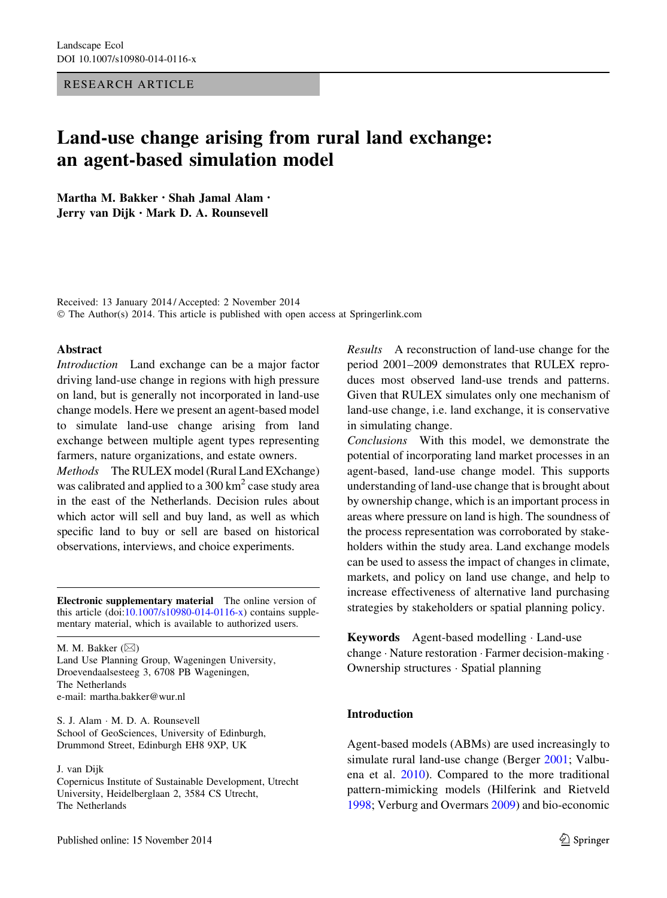RESEARCH ARTICLE

# Land-use change arising from rural land exchange: an agent-based simulation model

Martha M. Bakker • Shah Jamal Alam • Jerry van Dijk • Mark D. A. Rounsevell

Received: 13 January 2014 / Accepted: 2 November 2014 © The Author(s) 2014. This article is published with open access at Springerlink.com

#### Abstract

Introduction Land exchange can be a major factor driving land-use change in regions with high pressure on land, but is generally not incorporated in land-use change models. Here we present an agent-based model to simulate land-use change arising from land exchange between multiple agent types representing farmers, nature organizations, and estate owners.

Methods The RULEX model (Rural Land EXchange) was calibrated and applied to a  $300 \text{ km}^2$  case study area in the east of the Netherlands. Decision rules about which actor will sell and buy land, as well as which specific land to buy or sell are based on historical observations, interviews, and choice experiments.

Electronic supplementary material The online version of this article  $(doi.10.1007/s10980-014-0116-x)$  contains supplementary material, which is available to authorized users.

M. M. Bakker  $(\boxtimes)$ Land Use Planning Group, Wageningen University, Droevendaalsesteeg 3, 6708 PB Wageningen, The Netherlands e-mail: martha.bakker@wur.nl

S. J. Alam - M. D. A. Rounsevell School of GeoSciences, University of Edinburgh, Drummond Street, Edinburgh EH8 9XP, UK

J. van Dijk

Copernicus Institute of Sustainable Development, Utrecht University, Heidelberglaan 2, 3584 CS Utrecht, The Netherlands

Results A reconstruction of land-use change for the period 2001–2009 demonstrates that RULEX reproduces most observed land-use trends and patterns. Given that RULEX simulates only one mechanism of land-use change, i.e. land exchange, it is conservative in simulating change.

Conclusions With this model, we demonstrate the potential of incorporating land market processes in an agent-based, land-use change model. This supports understanding of land-use change that is brought about by ownership change, which is an important process in areas where pressure on land is high. The soundness of the process representation was corroborated by stakeholders within the study area. Land exchange models can be used to assess the impact of changes in climate, markets, and policy on land use change, and help to increase effectiveness of alternative land purchasing strategies by stakeholders or spatial planning policy.

Keywords Agent-based modelling · Land-use change - Nature restoration - Farmer decision-making - Ownership structures - Spatial planning

# Introduction

Agent-based models (ABMs) are used increasingly to simulate rural land-use change (Berger [2001;](#page-12-0) Valbuena et al. [2010\)](#page-13-0). Compared to the more traditional pattern-mimicking models (Hilferink and Rietveld [1998;](#page-13-0) Verburg and Overmars [2009](#page-13-0)) and bio-economic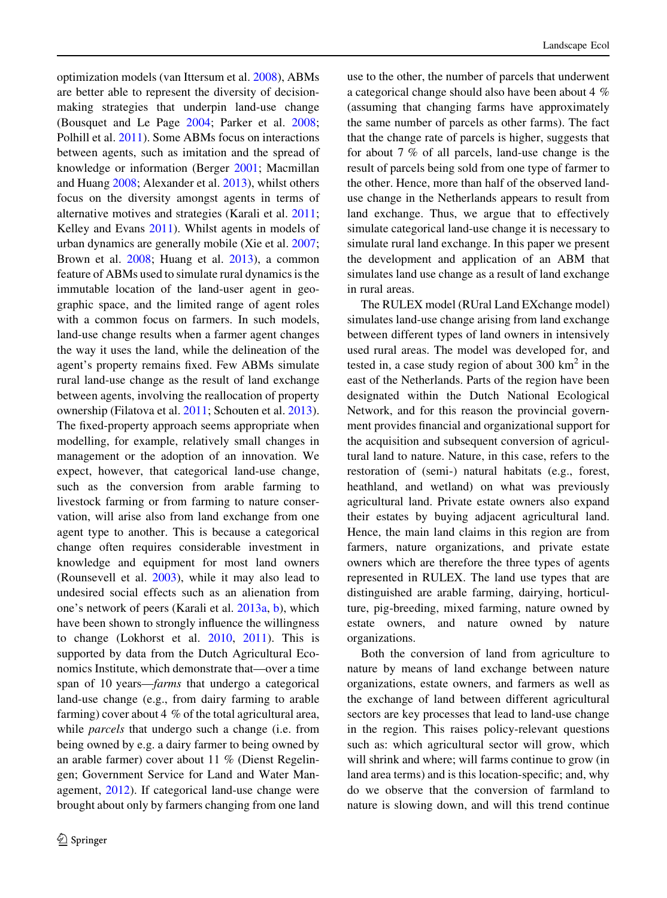optimization models (van Ittersum et al. [2008\)](#page-13-0), ABMs are better able to represent the diversity of decisionmaking strategies that underpin land-use change (Bousquet and Le Page [2004;](#page-12-0) Parker et al. [2008](#page-13-0); Polhill et al. [2011](#page-13-0)). Some ABMs focus on interactions between agents, such as imitation and the spread of knowledge or information (Berger [2001](#page-12-0); Macmillan and Huang [2008](#page-13-0); Alexander et al. [2013\)](#page-12-0), whilst others focus on the diversity amongst agents in terms of alternative motives and strategies (Karali et al. [2011](#page-13-0); Kelley and Evans [2011](#page-13-0)). Whilst agents in models of urban dynamics are generally mobile (Xie et al. [2007](#page-13-0); Brown et al. [2008](#page-12-0); Huang et al. [2013](#page-13-0)), a common feature of ABMs used to simulate rural dynamics is the immutable location of the land-user agent in geographic space, and the limited range of agent roles with a common focus on farmers. In such models, land-use change results when a farmer agent changes the way it uses the land, while the delineation of the agent's property remains fixed. Few ABMs simulate rural land-use change as the result of land exchange between agents, involving the reallocation of property ownership (Filatova et al. [2011](#page-13-0); Schouten et al. [2013](#page-13-0)). The fixed-property approach seems appropriate when modelling, for example, relatively small changes in management or the adoption of an innovation. We expect, however, that categorical land-use change, such as the conversion from arable farming to livestock farming or from farming to nature conservation, will arise also from land exchange from one agent type to another. This is because a categorical change often requires considerable investment in knowledge and equipment for most land owners (Rounsevell et al. [2003\)](#page-13-0), while it may also lead to undesired social effects such as an alienation from one's network of peers (Karali et al. [2013a](#page-13-0), [b](#page-13-0)), which have been shown to strongly influence the willingness to change (Lokhorst et al. [2010,](#page-13-0) [2011](#page-13-0)). This is supported by data from the Dutch Agricultural Economics Institute, which demonstrate that—over a time span of 10 years—farms that undergo a categorical land-use change (e.g., from dairy farming to arable farming) cover about 4 % of the total agricultural area, while *parcels* that undergo such a change (i.e. from being owned by e.g. a dairy farmer to being owned by an arable farmer) cover about 11 % (Dienst Regelingen; Government Service for Land and Water Management, [2012\)](#page-13-0). If categorical land-use change were brought about only by farmers changing from one land

use to the other, the number of parcels that underwent a categorical change should also have been about 4 % (assuming that changing farms have approximately the same number of parcels as other farms). The fact that the change rate of parcels is higher, suggests that for about 7 % of all parcels, land-use change is the result of parcels being sold from one type of farmer to the other. Hence, more than half of the observed landuse change in the Netherlands appears to result from land exchange. Thus, we argue that to effectively simulate categorical land-use change it is necessary to simulate rural land exchange. In this paper we present the development and application of an ABM that simulates land use change as a result of land exchange in rural areas.

The RULEX model (RUral Land EXchange model) simulates land-use change arising from land exchange between different types of land owners in intensively used rural areas. The model was developed for, and tested in, a case study region of about  $300 \text{ km}^2$  in the east of the Netherlands. Parts of the region have been designated within the Dutch National Ecological Network, and for this reason the provincial government provides financial and organizational support for the acquisition and subsequent conversion of agricultural land to nature. Nature, in this case, refers to the restoration of (semi-) natural habitats (e.g., forest, heathland, and wetland) on what was previously agricultural land. Private estate owners also expand their estates by buying adjacent agricultural land. Hence, the main land claims in this region are from farmers, nature organizations, and private estate owners which are therefore the three types of agents represented in RULEX. The land use types that are distinguished are arable farming, dairying, horticulture, pig-breeding, mixed farming, nature owned by estate owners, and nature owned by nature organizations.

Both the conversion of land from agriculture to nature by means of land exchange between nature organizations, estate owners, and farmers as well as the exchange of land between different agricultural sectors are key processes that lead to land-use change in the region. This raises policy-relevant questions such as: which agricultural sector will grow, which will shrink and where; will farms continue to grow (in land area terms) and is this location-specific; and, why do we observe that the conversion of farmland to nature is slowing down, and will this trend continue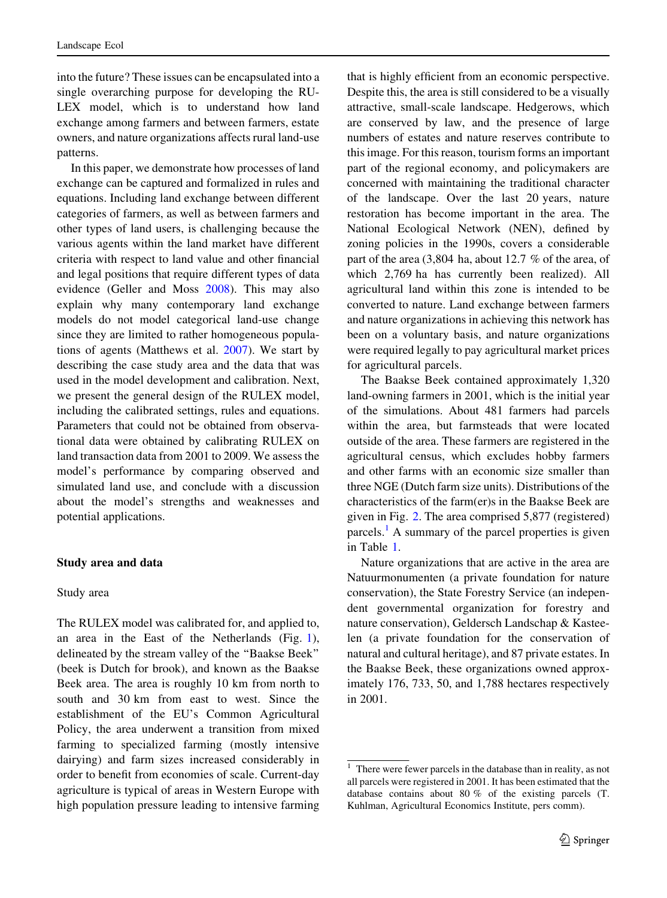into the future? These issues can be encapsulated into a single overarching purpose for developing the RU-LEX model, which is to understand how land exchange among farmers and between farmers, estate owners, and nature organizations affects rural land-use patterns.

In this paper, we demonstrate how processes of land exchange can be captured and formalized in rules and equations. Including land exchange between different categories of farmers, as well as between farmers and other types of land users, is challenging because the various agents within the land market have different criteria with respect to land value and other financial and legal positions that require different types of data evidence (Geller and Moss [2008\)](#page-13-0). This may also explain why many contemporary land exchange models do not model categorical land-use change since they are limited to rather homogeneous populations of agents (Matthews et al. [2007](#page-13-0)). We start by describing the case study area and the data that was used in the model development and calibration. Next, we present the general design of the RULEX model, including the calibrated settings, rules and equations. Parameters that could not be obtained from observational data were obtained by calibrating RULEX on land transaction data from 2001 to 2009. We assess the model's performance by comparing observed and simulated land use, and conclude with a discussion about the model's strengths and weaknesses and potential applications.

# Study area and data

# Study area

The RULEX model was calibrated for, and applied to, an area in the East of the Netherlands (Fig. [1](#page-3-0)), delineated by the stream valley of the ''Baakse Beek'' (beek is Dutch for brook), and known as the Baakse Beek area. The area is roughly 10 km from north to south and 30 km from east to west. Since the establishment of the EU's Common Agricultural Policy, the area underwent a transition from mixed farming to specialized farming (mostly intensive dairying) and farm sizes increased considerably in order to benefit from economies of scale. Current-day agriculture is typical of areas in Western Europe with high population pressure leading to intensive farming that is highly efficient from an economic perspective. Despite this, the area is still considered to be a visually attractive, small-scale landscape. Hedgerows, which are conserved by law, and the presence of large numbers of estates and nature reserves contribute to this image. For this reason, tourism forms an important part of the regional economy, and policymakers are concerned with maintaining the traditional character of the landscape. Over the last 20 years, nature restoration has become important in the area. The National Ecological Network (NEN), defined by zoning policies in the 1990s, covers a considerable part of the area (3,804 ha, about 12.7 % of the area, of which 2,769 ha has currently been realized). All agricultural land within this zone is intended to be converted to nature. Land exchange between farmers and nature organizations in achieving this network has been on a voluntary basis, and nature organizations were required legally to pay agricultural market prices for agricultural parcels.

The Baakse Beek contained approximately 1,320 land-owning farmers in 2001, which is the initial year of the simulations. About 481 farmers had parcels within the area, but farmsteads that were located outside of the area. These farmers are registered in the agricultural census, which excludes hobby farmers and other farms with an economic size smaller than three NGE (Dutch farm size units). Distributions of the characteristics of the farm(er)s in the Baakse Beek are given in Fig. [2.](#page-3-0) The area comprised 5,877 (registered) parcels.<sup>1</sup> A summary of the parcel properties is given in Table [1.](#page-4-0)

Nature organizations that are active in the area are Natuurmonumenten (a private foundation for nature conservation), the State Forestry Service (an independent governmental organization for forestry and nature conservation), Geldersch Landschap & Kasteelen (a private foundation for the conservation of natural and cultural heritage), and 87 private estates. In the Baakse Beek, these organizations owned approximately 176, 733, 50, and 1,788 hectares respectively in 2001.

 $1$  There were fewer parcels in the database than in reality, as not all parcels were registered in 2001. It has been estimated that the database contains about 80 % of the existing parcels (T. Kuhlman, Agricultural Economics Institute, pers comm).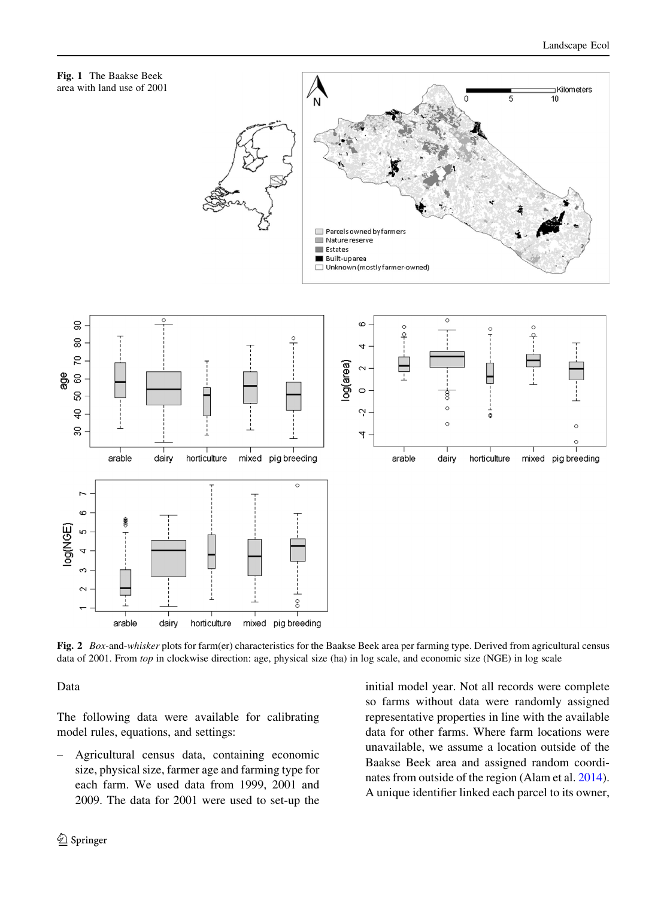<span id="page-3-0"></span>

Fig. 2 Box-and-whisker plots for farm(er) characteristics for the Baakse Beek area per farming type. Derived from agricultural census data of 2001. From top in clockwise direction: age, physical size (ha) in log scale, and economic size (NGE) in log scale

Data

The following data were available for calibrating model rules, equations, and settings:

– Agricultural census data, containing economic size, physical size, farmer age and farming type for each farm. We used data from 1999, 2001 and 2009. The data for 2001 were used to set-up the initial model year. Not all records were complete so farms without data were randomly assigned representative properties in line with the available data for other farms. Where farm locations were unavailable, we assume a location outside of the Baakse Beek area and assigned random coordinates from outside of the region (Alam et al. [2014](#page-12-0)). A unique identifier linked each parcel to its owner,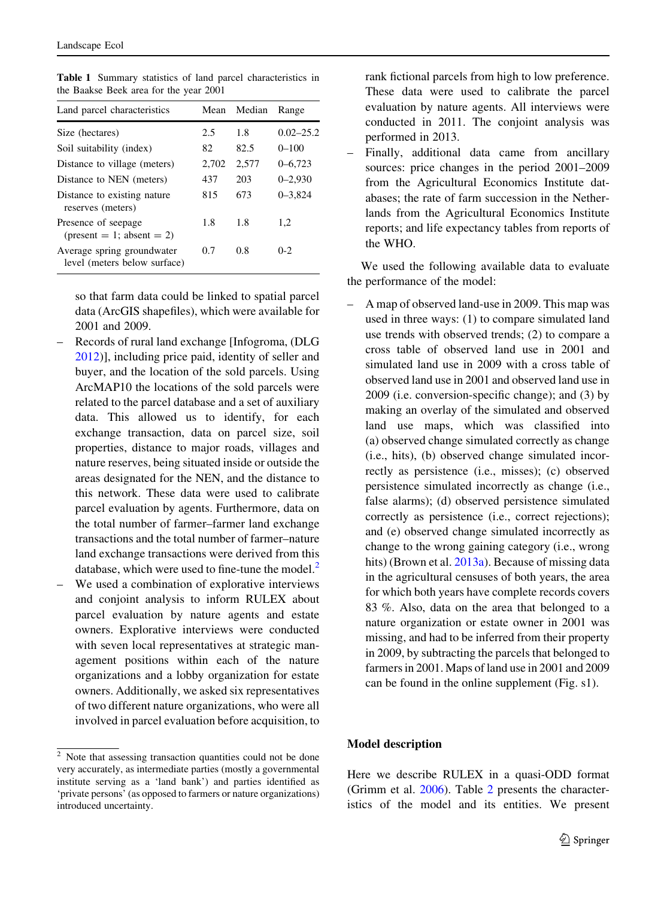| Land parcel characteristics                                | Mean  | Median | Range         |
|------------------------------------------------------------|-------|--------|---------------|
| Size (hectares)                                            | 2.5   | 1.8    | $0.02 - 25.2$ |
| Soil suitability (index)                                   | 82    | 82.5   | $0 - 100$     |
| Distance to village (meters)                               | 2.702 | 2.577  | $0 - 6.723$   |
| Distance to NEN (meters)                                   | 437   | 203    | $0 - 2,930$   |
| Distance to existing nature<br>reserves (meters)           | 815   | 673    | $0 - 3,824$   |
| Presence of seepage<br>$(present = 1; absent = 2)$         | 1.8   | 1.8    | 1,2           |
| Average spring groundwater<br>level (meters below surface) | 0.7   | 0.8    | $0 - 2$       |

<span id="page-4-0"></span>Table 1 Summary statistics of land parcel characteristics in the Baakse Beek area for the year 2001

so that farm data could be linked to spatial parcel data (ArcGIS shapefiles), which were available for 2001 and 2009.

- Records of rural land exchange [Infogroma, (DLG [2012\)](#page-13-0)], including price paid, identity of seller and buyer, and the location of the sold parcels. Using ArcMAP10 the locations of the sold parcels were related to the parcel database and a set of auxiliary data. This allowed us to identify, for each exchange transaction, data on parcel size, soil properties, distance to major roads, villages and nature reserves, being situated inside or outside the areas designated for the NEN, and the distance to this network. These data were used to calibrate parcel evaluation by agents. Furthermore, data on the total number of farmer–farmer land exchange transactions and the total number of farmer–nature land exchange transactions were derived from this database, which were used to fine-tune the model.<sup>2</sup>
- We used a combination of explorative interviews and conjoint analysis to inform RULEX about parcel evaluation by nature agents and estate owners. Explorative interviews were conducted with seven local representatives at strategic management positions within each of the nature organizations and a lobby organization for estate owners. Additionally, we asked six representatives of two different nature organizations, who were all involved in parcel evaluation before acquisition, to

rank fictional parcels from high to low preference. These data were used to calibrate the parcel evaluation by nature agents. All interviews were conducted in 2011. The conjoint analysis was performed in 2013.

– Finally, additional data came from ancillary sources: price changes in the period 2001–2009 from the Agricultural Economics Institute databases; the rate of farm succession in the Netherlands from the Agricultural Economics Institute reports; and life expectancy tables from reports of the WHO.

We used the following available data to evaluate the performance of the model:

– A map of observed land-use in 2009. This map was used in three ways: (1) to compare simulated land use trends with observed trends; (2) to compare a cross table of observed land use in 2001 and simulated land use in 2009 with a cross table of observed land use in 2001 and observed land use in 2009 (i.e. conversion-specific change); and (3) by making an overlay of the simulated and observed land use maps, which was classified into (a) observed change simulated correctly as change (i.e., hits), (b) observed change simulated incorrectly as persistence (i.e., misses); (c) observed persistence simulated incorrectly as change (i.e., false alarms); (d) observed persistence simulated correctly as persistence (i.e., correct rejections); and (e) observed change simulated incorrectly as change to the wrong gaining category (i.e., wrong hits) (Brown et al. [2013a](#page-13-0)). Because of missing data in the agricultural censuses of both years, the area for which both years have complete records covers 83 %. Also, data on the area that belonged to a nature organization or estate owner in 2001 was missing, and had to be inferred from their property in 2009, by subtracting the parcels that belonged to farmers in 2001. Maps of land use in 2001 and 2009 can be found in the online supplement (Fig. s1).

# Model description

Here we describe RULEX in a quasi-ODD format (Grimm et al. [2006](#page-13-0)). Table [2](#page-5-0) presents the characteristics of the model and its entities. We present

<sup>&</sup>lt;sup>2</sup> Note that assessing transaction quantities could not be done very accurately, as intermediate parties (mostly a governmental institute serving as a 'land bank') and parties identified as 'private persons' (as opposed to farmers or nature organizations) introduced uncertainty.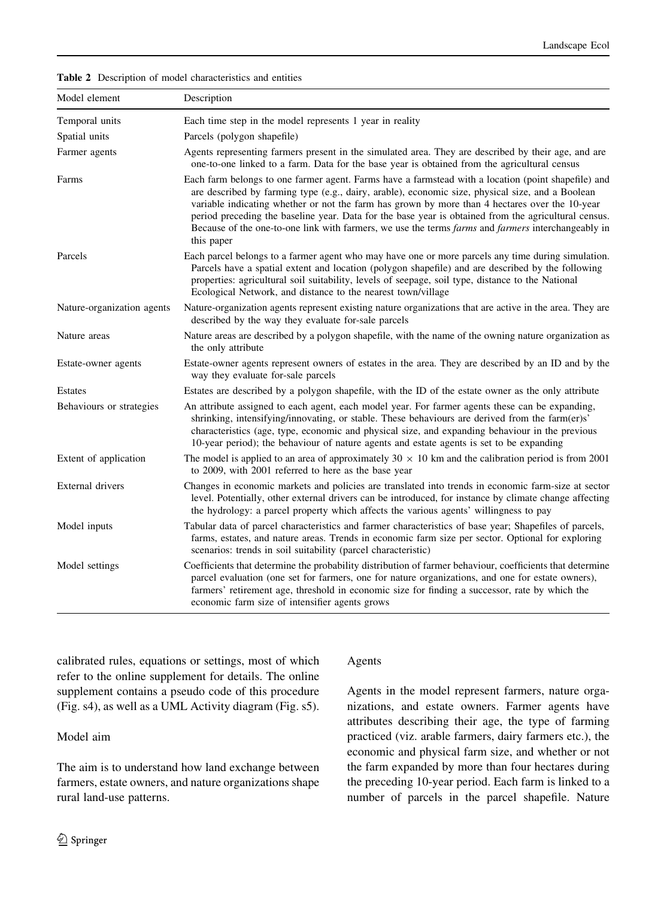<span id="page-5-0"></span>

|  |  |  | Table 2 Description of model characteristics and entities |  |
|--|--|--|-----------------------------------------------------------|--|
|--|--|--|-----------------------------------------------------------|--|

| Model element              | Description                                                                                                                                                                                                                                                                                                                                                                                                                                                                                                                           |
|----------------------------|---------------------------------------------------------------------------------------------------------------------------------------------------------------------------------------------------------------------------------------------------------------------------------------------------------------------------------------------------------------------------------------------------------------------------------------------------------------------------------------------------------------------------------------|
| Temporal units             | Each time step in the model represents 1 year in reality                                                                                                                                                                                                                                                                                                                                                                                                                                                                              |
| Spatial units              | Parcels (polygon shapefile)                                                                                                                                                                                                                                                                                                                                                                                                                                                                                                           |
| Farmer agents              | Agents representing farmers present in the simulated area. They are described by their age, and are<br>one-to-one linked to a farm. Data for the base year is obtained from the agricultural census                                                                                                                                                                                                                                                                                                                                   |
| Farms                      | Each farm belongs to one farmer agent. Farms have a farmstead with a location (point shapefile) and<br>are described by farming type (e.g., dairy, arable), economic size, physical size, and a Boolean<br>variable indicating whether or not the farm has grown by more than 4 hectares over the 10-year<br>period preceding the baseline year. Data for the base year is obtained from the agricultural census.<br>Because of the one-to-one link with farmers, we use the terms farms and farmers interchangeably in<br>this paper |
| Parcels                    | Each parcel belongs to a farmer agent who may have one or more parcels any time during simulation.<br>Parcels have a spatial extent and location (polygon shapefile) and are described by the following<br>properties: agricultural soil suitability, levels of seepage, soil type, distance to the National<br>Ecological Network, and distance to the nearest town/village                                                                                                                                                          |
| Nature-organization agents | Nature-organization agents represent existing nature organizations that are active in the area. They are<br>described by the way they evaluate for-sale parcels                                                                                                                                                                                                                                                                                                                                                                       |
| Nature areas               | Nature areas are described by a polygon shapefile, with the name of the owning nature organization as<br>the only attribute                                                                                                                                                                                                                                                                                                                                                                                                           |
| Estate-owner agents        | Estate-owner agents represent owners of estates in the area. They are described by an ID and by the<br>way they evaluate for-sale parcels                                                                                                                                                                                                                                                                                                                                                                                             |
| Estates                    | Estates are described by a polygon shapefile, with the ID of the estate owner as the only attribute                                                                                                                                                                                                                                                                                                                                                                                                                                   |
| Behaviours or strategies   | An attribute assigned to each agent, each model year. For farmer agents these can be expanding,<br>shrinking, intensifying/innovating, or stable. These behaviours are derived from the farm(er)s'<br>characteristics (age, type, economic and physical size, and expanding behaviour in the previous<br>10-year period); the behaviour of nature agents and estate agents is set to be expanding                                                                                                                                     |
| Extent of application      | The model is applied to an area of approximately $30 \times 10$ km and the calibration period is from 2001<br>to 2009, with 2001 referred to here as the base year                                                                                                                                                                                                                                                                                                                                                                    |
| <b>External drivers</b>    | Changes in economic markets and policies are translated into trends in economic farm-size at sector<br>level. Potentially, other external drivers can be introduced, for instance by climate change affecting<br>the hydrology: a parcel property which affects the various agents' willingness to pay                                                                                                                                                                                                                                |
| Model inputs               | Tabular data of parcel characteristics and farmer characteristics of base year; Shapefiles of parcels,<br>farms, estates, and nature areas. Trends in economic farm size per sector. Optional for exploring<br>scenarios: trends in soil suitability (parcel characteristic)                                                                                                                                                                                                                                                          |
| Model settings             | Coefficients that determine the probability distribution of farmer behaviour, coefficients that determine<br>parcel evaluation (one set for farmers, one for nature organizations, and one for estate owners),<br>farmers' retirement age, threshold in economic size for finding a successor, rate by which the<br>economic farm size of intensifier agents grows                                                                                                                                                                    |

Agents

calibrated rules, equations or settings, most of which refer to the online supplement for details. The online supplement contains a pseudo code of this procedure (Fig. s4), as well as a UML Activity diagram (Fig. s5).

# Model aim

The aim is to understand how land exchange between farmers, estate owners, and nature organizations shape rural land-use patterns.

attributes describing their age, the type of farming practiced (viz. arable farmers, dairy farmers etc.), the economic and physical farm size, and whether or not the farm expanded by more than four hectares during the preceding 10-year period. Each farm is linked to a number of parcels in the parcel shapefile. Nature

Agents in the model represent farmers, nature organizations, and estate owners. Farmer agents have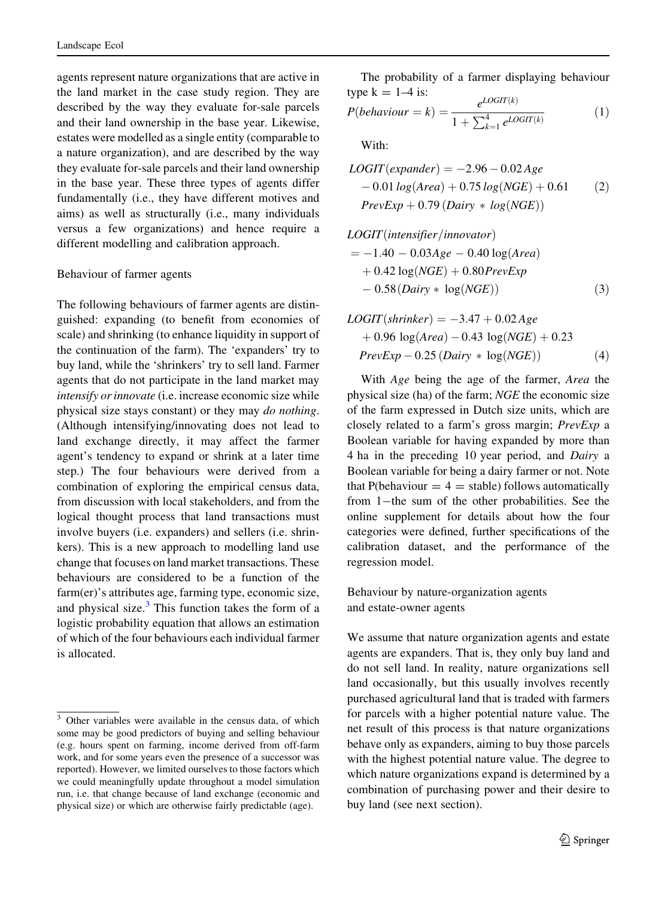<span id="page-6-0"></span>agents represent nature organizations that are active in the land market in the case study region. They are described by the way they evaluate for-sale parcels and their land ownership in the base year. Likewise, estates were modelled as a single entity (comparable to a nature organization), and are described by the way they evaluate for-sale parcels and their land ownership in the base year. These three types of agents differ fundamentally (i.e., they have different motives and aims) as well as structurally (i.e., many individuals versus a few organizations) and hence require a different modelling and calibration approach.

#### Behaviour of farmer agents

The following behaviours of farmer agents are distinguished: expanding (to benefit from economies of scale) and shrinking (to enhance liquidity in support of the continuation of the farm). The 'expanders' try to buy land, while the 'shrinkers' try to sell land. Farmer agents that do not participate in the land market may intensify or innovate (i.e. increase economic size while physical size stays constant) or they may do nothing. (Although intensifying/innovating does not lead to land exchange directly, it may affect the farmer agent's tendency to expand or shrink at a later time step.) The four behaviours were derived from a combination of exploring the empirical census data, from discussion with local stakeholders, and from the logical thought process that land transactions must involve buyers (i.e. expanders) and sellers (i.e. shrinkers). This is a new approach to modelling land use change that focuses on land market transactions. These behaviours are considered to be a function of the farm(er)'s attributes age, farming type, economic size, and physical size. $3$  This function takes the form of a logistic probability equation that allows an estimation of which of the four behaviours each individual farmer is allocated.

The probability of a farmer displaying behaviour type  $k = 1-4$  is:

$$
P(behaviour = k) = \frac{e^{LOGIT(k)}}{1 + \sum_{k=1}^{4} e^{LOGIT(k)}} \tag{1}
$$

With:

$$
LOGIT(expander) = -2.96 - 0.02 Age
$$
  
- 0.01 log(Area) + 0.75 log(NGE) + 0.61 (2)  
PrevExp + 0.79 (Dairy \* log(NGE))

$$
LOGIT(intensifier/innovator)
$$
  
= -1.40 - 0.03Age - 0.40 log(Area)  
+ 0.42 log(NGE) + 0.80PrevExp  
- 0.58(Dairy \* log(NGE)) (3)

$$
LOGIT(shrinker) = -3.47 + 0.02 Age
$$
  
+ 0.96 log(Area) – 0.43 log(NGE) + 0.23  
PrevExp – 0.25 (Dairy \* log(NGE)) (4)

With Age being the age of the farmer, Area the physical size (ha) of the farm; NGE the economic size of the farm expressed in Dutch size units, which are closely related to a farm's gross margin; PrevExp a Boolean variable for having expanded by more than 4 ha in the preceding 10 year period, and Dairy a Boolean variable for being a dairy farmer or not. Note that P(behaviour  $= 4$  = stable) follows automatically from 1-the sum of the other probabilities. See the online supplement for details about how the four categories were defined, further specifications of the calibration dataset, and the performance of the regression model.

Behaviour by nature-organization agents and estate-owner agents

We assume that nature organization agents and estate agents are expanders. That is, they only buy land and do not sell land. In reality, nature organizations sell land occasionally, but this usually involves recently purchased agricultural land that is traded with farmers for parcels with a higher potential nature value. The net result of this process is that nature organizations behave only as expanders, aiming to buy those parcels with the highest potential nature value. The degree to which nature organizations expand is determined by a combination of purchasing power and their desire to buy land (see next section).

<sup>&</sup>lt;sup>3</sup> Other variables were available in the census data, of which some may be good predictors of buying and selling behaviour (e.g. hours spent on farming, income derived from off-farm work, and for some years even the presence of a successor was reported). However, we limited ourselves to those factors which we could meaningfully update throughout a model simulation run, i.e. that change because of land exchange (economic and physical size) or which are otherwise fairly predictable (age).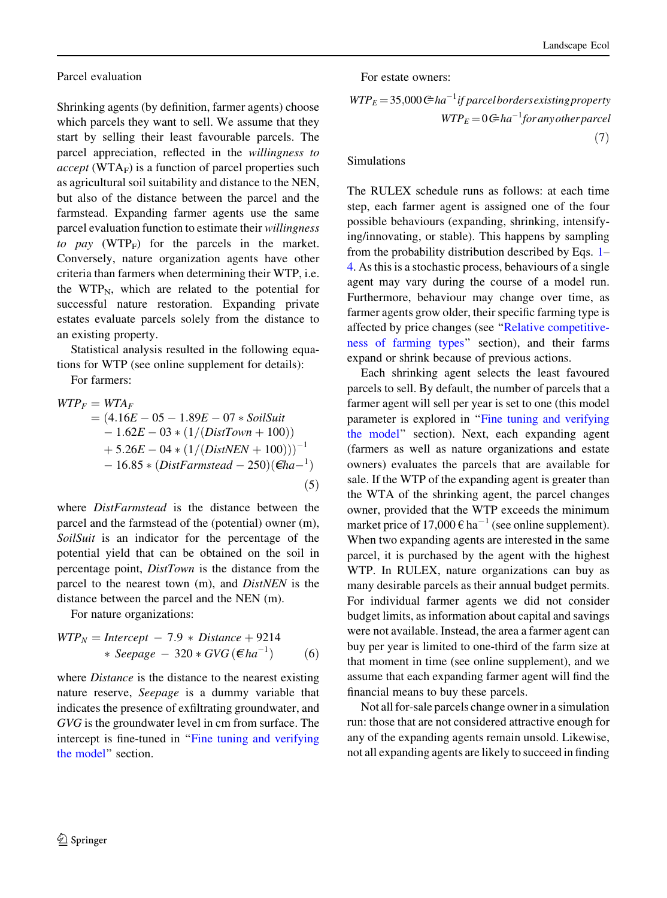# <span id="page-7-0"></span>Parcel evaluation

Shrinking agents (by definition, farmer agents) choose which parcels they want to sell. We assume that they start by selling their least favourable parcels. The parcel appreciation, reflected in the willingness to  $accept$  (WTA<sub>F</sub>) is a function of parcel properties such as agricultural soil suitability and distance to the NEN, but also of the distance between the parcel and the farmstead. Expanding farmer agents use the same parcel evaluation function to estimate their willingness to pay  $(WTP_F)$  for the parcels in the market. Conversely, nature organization agents have other criteria than farmers when determining their WTP, i.e. the  $WTP_N$ , which are related to the potential for successful nature restoration. Expanding private estates evaluate parcels solely from the distance to an existing property.

Statistical analysis resulted in the following equations for WTP (see online supplement for details):

For farmers:

$$
WTP_F = WTA_F
$$
  
= (4.16E - 05 - 1.89E - 07 \* SoilSuit  
- 1.62E - 03 \* (1/(DistTown + 100))  
+ 5.26E - 04 \* (1/(DistNEN + 100)))<sup>-1</sup>  
- 16.85 \* (DistFarmstead - 250)(Eha<sup>-1</sup>) (5)

where *DistFarmstead* is the distance between the parcel and the farmstead of the (potential) owner (m), SoilSuit is an indicator for the percentage of the potential yield that can be obtained on the soil in percentage point, *DistTown* is the distance from the parcel to the nearest town (m), and *DistNEN* is the distance between the parcel and the NEN (m).

For nature organizations:

$$
WTP_N = \text{Intercept} - 7.9 * \text{Distance} + 9214
$$
  
\* *Seepage* - 320 \* *GVG* ( $\in$ ha<sup>-1</sup>) (6)

where *Distance* is the distance to the nearest existing nature reserve, Seepage is a dummy variable that indicates the presence of exfiltrating groundwater, and GVG is the groundwater level in cm from surface. The intercept is fine-tuned in "[Fine tuning and verifying](#page-8-0) [the model'](#page-8-0)' section.

$$
WTP_E = 35,000 \oplus ha^{-1} \text{ if } parcel borders existing property
$$
  

$$
WTP_E = 0 \oplus ha^{-1} for any other parcel
$$
  
(7)

Simulations

The RULEX schedule runs as follows: at each time step, each farmer agent is assigned one of the four possible behaviours (expanding, shrinking, intensifying/innovating, or stable). This happens by sampling from the probability distribution described by Eqs. [1](#page-6-0)– [4.](#page-6-0) As this is a stochastic process, behaviours of a single agent may vary during the course of a model run. Furthermore, behaviour may change over time, as farmer agents grow older, their specific farming type is affected by price changes (see ''[Relative competitive](#page-8-0)[ness of farming types](#page-8-0)'' section), and their farms expand or shrink because of previous actions.

Each shrinking agent selects the least favoured parcels to sell. By default, the number of parcels that a farmer agent will sell per year is set to one (this model parameter is explored in "[Fine tuning and verifying](#page-8-0) [the model'](#page-8-0)' section). Next, each expanding agent (farmers as well as nature organizations and estate owners) evaluates the parcels that are available for sale. If the WTP of the expanding agent is greater than the WTA of the shrinking agent, the parcel changes owner, provided that the WTP exceeds the minimum market price of 17,000  $\epsilon$  ha<sup>-1</sup> (see online supplement). When two expanding agents are interested in the same parcel, it is purchased by the agent with the highest WTP. In RULEX, nature organizations can buy as many desirable parcels as their annual budget permits. For individual farmer agents we did not consider budget limits, as information about capital and savings were not available. Instead, the area a farmer agent can buy per year is limited to one-third of the farm size at that moment in time (see online supplement), and we assume that each expanding farmer agent will find the financial means to buy these parcels.

Not all for-sale parcels change owner in a simulation run: those that are not considered attractive enough for any of the expanding agents remain unsold. Likewise, not all expanding agents are likely to succeed in finding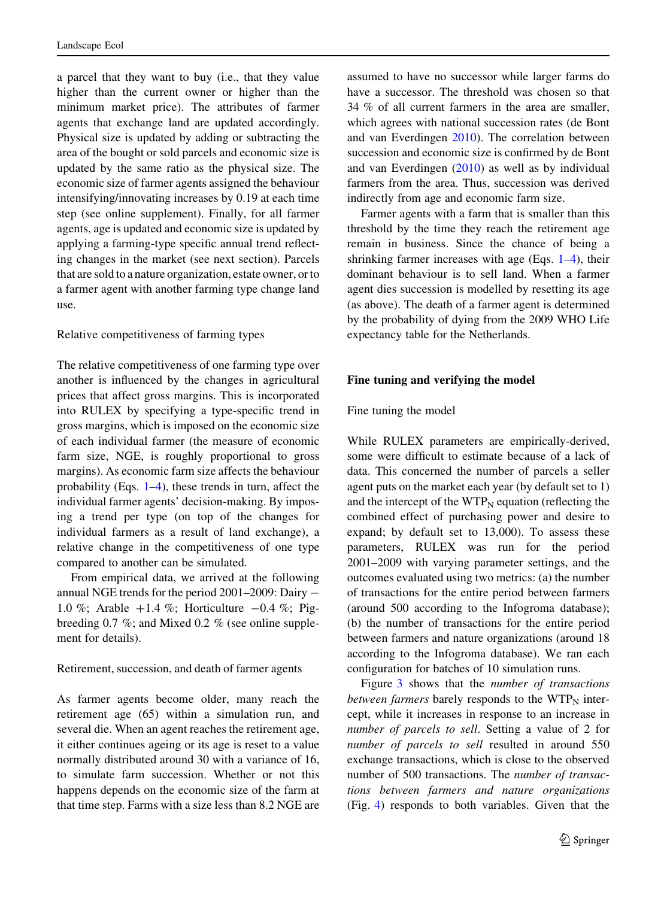<span id="page-8-0"></span>a parcel that they want to buy (i.e., that they value higher than the current owner or higher than the minimum market price). The attributes of farmer agents that exchange land are updated accordingly. Physical size is updated by adding or subtracting the area of the bought or sold parcels and economic size is updated by the same ratio as the physical size. The economic size of farmer agents assigned the behaviour intensifying/innovating increases by 0.19 at each time step (see online supplement). Finally, for all farmer agents, age is updated and economic size is updated by applying a farming-type specific annual trend reflecting changes in the market (see next section). Parcels that are sold to a nature organization, estate owner, or to a farmer agent with another farming type change land use.

#### Relative competitiveness of farming types

The relative competitiveness of one farming type over another is influenced by the changes in agricultural prices that affect gross margins. This is incorporated into RULEX by specifying a type-specific trend in gross margins, which is imposed on the economic size of each individual farmer (the measure of economic farm size, NGE, is roughly proportional to gross margins). As economic farm size affects the behaviour probability (Eqs. [1–4\)](#page-6-0), these trends in turn, affect the individual farmer agents' decision-making. By imposing a trend per type (on top of the changes for individual farmers as a result of land exchange), a relative change in the competitiveness of one type compared to another can be simulated.

From empirical data, we arrived at the following annual NGE trends for the period 2001–2009: Dairy -1.0 %; Arable  $+1.4$  %; Horticulture  $-0.4$  %; Pigbreeding 0.7 %; and Mixed 0.2 % (see online supplement for details).

# Retirement, succession, and death of farmer agents

As farmer agents become older, many reach the retirement age (65) within a simulation run, and several die. When an agent reaches the retirement age, it either continues ageing or its age is reset to a value normally distributed around 30 with a variance of 16, to simulate farm succession. Whether or not this happens depends on the economic size of the farm at that time step. Farms with a size less than 8.2 NGE are

assumed to have no successor while larger farms do have a successor. The threshold was chosen so that 34 % of all current farmers in the area are smaller, which agrees with national succession rates (de Bont and van Everdingen [2010](#page-13-0)). The correlation between succession and economic size is confirmed by de Bont and van Everdingen [\(2010](#page-13-0)) as well as by individual farmers from the area. Thus, succession was derived indirectly from age and economic farm size.

Farmer agents with a farm that is smaller than this threshold by the time they reach the retirement age remain in business. Since the chance of being a shrinking farmer increases with age (Eqs.  $1-4$ ), their dominant behaviour is to sell land. When a farmer agent dies succession is modelled by resetting its age (as above). The death of a farmer agent is determined by the probability of dying from the 2009 WHO Life expectancy table for the Netherlands.

#### Fine tuning and verifying the model

# Fine tuning the model

While RULEX parameters are empirically-derived, some were difficult to estimate because of a lack of data. This concerned the number of parcels a seller agent puts on the market each year (by default set to 1) and the intercept of the  $WTP_N$  equation (reflecting the combined effect of purchasing power and desire to expand; by default set to 13,000). To assess these parameters, RULEX was run for the period 2001–2009 with varying parameter settings, and the outcomes evaluated using two metrics: (a) the number of transactions for the entire period between farmers (around 500 according to the Infogroma database); (b) the number of transactions for the entire period between farmers and nature organizations (around 18 according to the Infogroma database). We ran each configuration for batches of 10 simulation runs.

Figure [3](#page-9-0) shows that the number of transactions between farmers barely responds to the  $WTP_N$  intercept, while it increases in response to an increase in number of parcels to sell. Setting a value of 2 for number of parcels to sell resulted in around 550 exchange transactions, which is close to the observed number of 500 transactions. The number of transactions between farmers and nature organizations (Fig. [4](#page-9-0)) responds to both variables. Given that the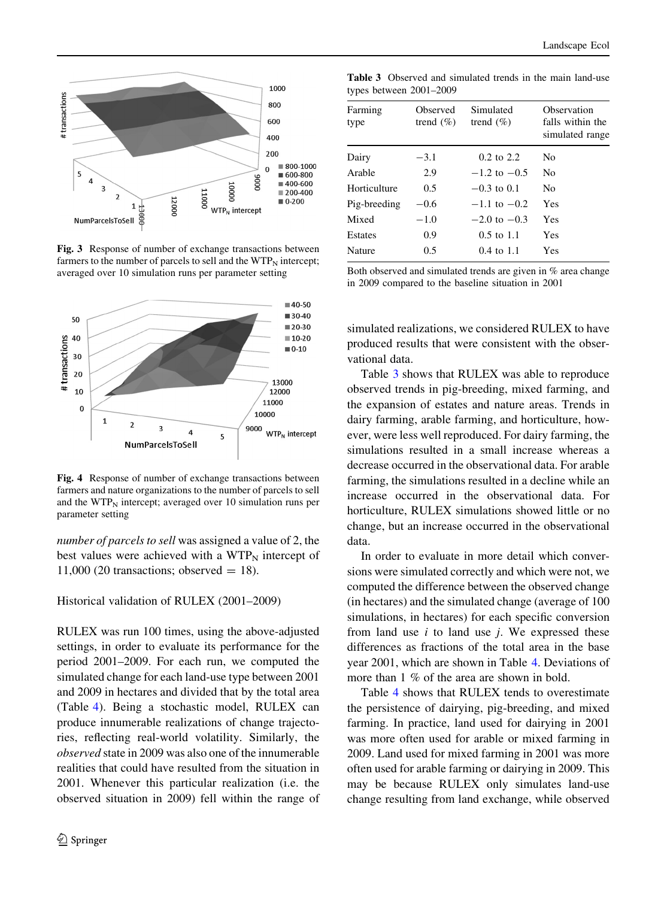<span id="page-9-0"></span>

Fig. 3 Response of number of exchange transactions between farmers to the number of parcels to sell and the  $WTP<sub>N</sub>$  intercept; averaged over 10 simulation runs per parameter setting



Fig. 4 Response of number of exchange transactions between farmers and nature organizations to the number of parcels to sell and the  $WTP_N$  intercept; averaged over 10 simulation runs per parameter setting

number of parcels to sell was assigned a value of 2, the best values were achieved with a  $WTP_N$  intercept of 11,000 (20 transactions; observed  $= 18$ ).

# Historical validation of RULEX (2001–2009)

RULEX was run 100 times, using the above-adjusted settings, in order to evaluate its performance for the period 2001–2009. For each run, we computed the simulated change for each land-use type between 2001 and 2009 in hectares and divided that by the total area (Table [4](#page-10-0)). Being a stochastic model, RULEX can produce innumerable realizations of change trajectories, reflecting real-world volatility. Similarly, the observed state in 2009 was also one of the innumerable realities that could have resulted from the situation in 2001. Whenever this particular realization (i.e. the observed situation in 2009) fell within the range of

Table 3 Observed and simulated trends in the main land-use types between 2001–2009

| Farming<br>type | Observed<br>trend $(\% )$ | Simulated<br>trend $(\% )$ | Observation<br>falls within the<br>simulated range |
|-----------------|---------------------------|----------------------------|----------------------------------------------------|
| Dairy           | $-3.1$                    | $0.2$ to $2.2$             | Nο                                                 |
| Arable          | 2.9                       | $-1.2$ to $-0.5$           | N <sub>0</sub>                                     |
| Horticulture    | 0.5                       | $-0.3$ to 0.1              | N <sub>0</sub>                                     |
| Pig-breeding    | $-0.6$                    | $-1.1$ to $-0.2$           | Yes                                                |
| Mixed           | $-1.0$                    | $-2.0 \text{ to } -0.3$    | Yes                                                |
| Estates         | 0.9                       | $0.5$ to 1.1               | Yes                                                |
| Nature          | 0.5                       | $0.4 \text{ to } 1.1$      | Yes                                                |
|                 |                           |                            |                                                    |

Both observed and simulated trends are given in % area change in 2009 compared to the baseline situation in 2001

simulated realizations, we considered RULEX to have produced results that were consistent with the observational data.

Table 3 shows that RULEX was able to reproduce observed trends in pig-breeding, mixed farming, and the expansion of estates and nature areas. Trends in dairy farming, arable farming, and horticulture, however, were less well reproduced. For dairy farming, the simulations resulted in a small increase whereas a decrease occurred in the observational data. For arable farming, the simulations resulted in a decline while an increase occurred in the observational data. For horticulture, RULEX simulations showed little or no change, but an increase occurred in the observational data.

In order to evaluate in more detail which conversions were simulated correctly and which were not, we computed the difference between the observed change (in hectares) and the simulated change (average of 100 simulations, in hectares) for each specific conversion from land use  $i$  to land use  $i$ . We expressed these differences as fractions of the total area in the base year 2001, which are shown in Table [4](#page-10-0). Deviations of more than 1 % of the area are shown in bold.

Table [4](#page-10-0) shows that RULEX tends to overestimate the persistence of dairying, pig-breeding, and mixed farming. In practice, land used for dairying in 2001 was more often used for arable or mixed farming in 2009. Land used for mixed farming in 2001 was more often used for arable farming or dairying in 2009. This may be because RULEX only simulates land-use change resulting from land exchange, while observed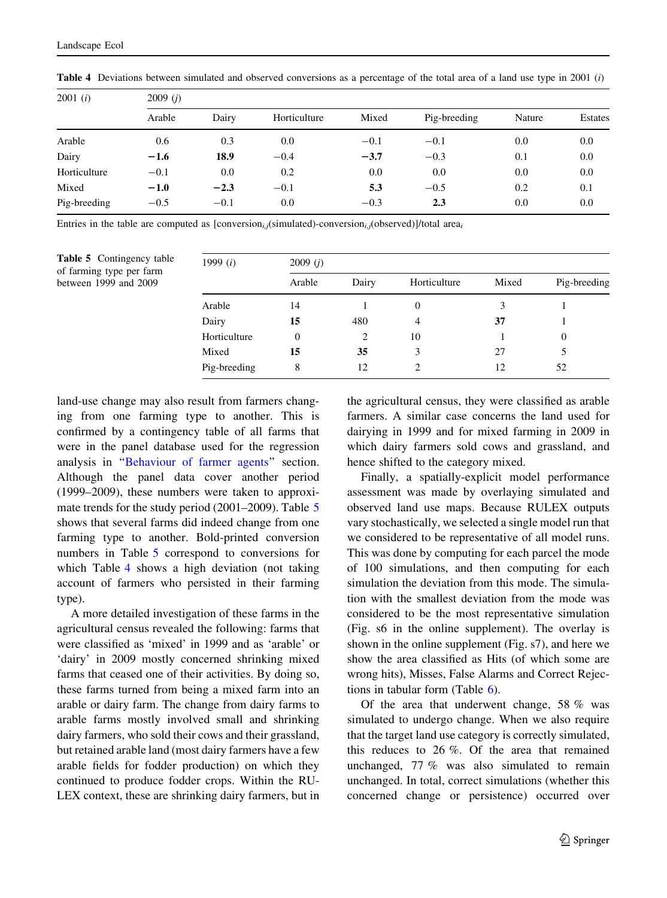| 2001(i)      | 2009(i) |        |              |        |              |        |         |  |  |
|--------------|---------|--------|--------------|--------|--------------|--------|---------|--|--|
|              | Arable  | Dairy  | Horticulture | Mixed  | Pig-breeding | Nature | Estates |  |  |
| Arable       | 0.6     | 0.3    | 0.0          | $-0.1$ | $-0.1$       | 0.0    | 0.0     |  |  |
| Dairy        | $-1.6$  | 18.9   | $-0.4$       | $-3.7$ | $-0.3$       | 0.1    | 0.0     |  |  |
| Horticulture | $-0.1$  | 0.0    | 0.2          | 0.0    | 0.0          | 0.0    | 0.0     |  |  |
| Mixed        | $-1.0$  | $-2.3$ | $-0.1$       | 5.3    | $-0.5$       | 0.2    | 0.1     |  |  |
| Pig-breeding | $-0.5$  | $-0.1$ | 0.0          | $-0.3$ | 2.3          | 0.0    | 0.0     |  |  |

<span id="page-10-0"></span>Table 4 Deviations between simulated and observed conversions as a percentage of the total area of a land use type in 2001 (i)

Entries in the table are computed as  $[conversion_{i,j}$ (simulated)-conversion<sub>ij</sub>(observed)]/total area<sub>i</sub>

| <b>Table 5</b> Contingency table<br>of farming type per farm | 1999 $(i)$   | 2009(j) |       |              |       |                |  |
|--------------------------------------------------------------|--------------|---------|-------|--------------|-------|----------------|--|
| between $1999$ and $2009$                                    |              | Arable  | Dairy | Horticulture | Mixed | Pig-breeding   |  |
|                                                              | Arable       | 14      |       | 0            | 3     |                |  |
|                                                              | Dairy        | 15      | 480   | 4            | 37    |                |  |
|                                                              | Horticulture | 0       |       | 10           |       | $\overline{0}$ |  |
|                                                              | Mixed        | 15      | 35    | 3            | 27    |                |  |
|                                                              | Pig-breeding | 8       | 12    | 2            | 12    | 52             |  |

land-use change may also result from farmers changing from one farming type to another. This is confirmed by a contingency table of all farms that were in the panel database used for the regression analysis in ''[Behaviour of farmer agents'](#page-6-0)' section. Although the panel data cover another period (1999–2009), these numbers were taken to approximate trends for the study period (2001–2009). Table 5 shows that several farms did indeed change from one farming type to another. Bold-printed conversion numbers in Table 5 correspond to conversions for which Table 4 shows a high deviation (not taking account of farmers who persisted in their farming type).

A more detailed investigation of these farms in the agricultural census revealed the following: farms that were classified as 'mixed' in 1999 and as 'arable' or 'dairy' in 2009 mostly concerned shrinking mixed farms that ceased one of their activities. By doing so, these farms turned from being a mixed farm into an arable or dairy farm. The change from dairy farms to arable farms mostly involved small and shrinking dairy farmers, who sold their cows and their grassland, but retained arable land (most dairy farmers have a few arable fields for fodder production) on which they continued to produce fodder crops. Within the RU-LEX context, these are shrinking dairy farmers, but in the agricultural census, they were classified as arable farmers. A similar case concerns the land used for dairying in 1999 and for mixed farming in 2009 in which dairy farmers sold cows and grassland, and hence shifted to the category mixed.

Finally, a spatially-explicit model performance assessment was made by overlaying simulated and observed land use maps. Because RULEX outputs vary stochastically, we selected a single model run that we considered to be representative of all model runs. This was done by computing for each parcel the mode of 100 simulations, and then computing for each simulation the deviation from this mode. The simulation with the smallest deviation from the mode was considered to be the most representative simulation (Fig. s6 in the online supplement). The overlay is shown in the online supplement (Fig. s7), and here we show the area classified as Hits (of which some are wrong hits), Misses, False Alarms and Correct Rejections in tabular form (Table [6](#page-11-0)).

Of the area that underwent change, 58 % was simulated to undergo change. When we also require that the target land use category is correctly simulated, this reduces to 26 %. Of the area that remained unchanged, 77 % was also simulated to remain unchanged. In total, correct simulations (whether this concerned change or persistence) occurred over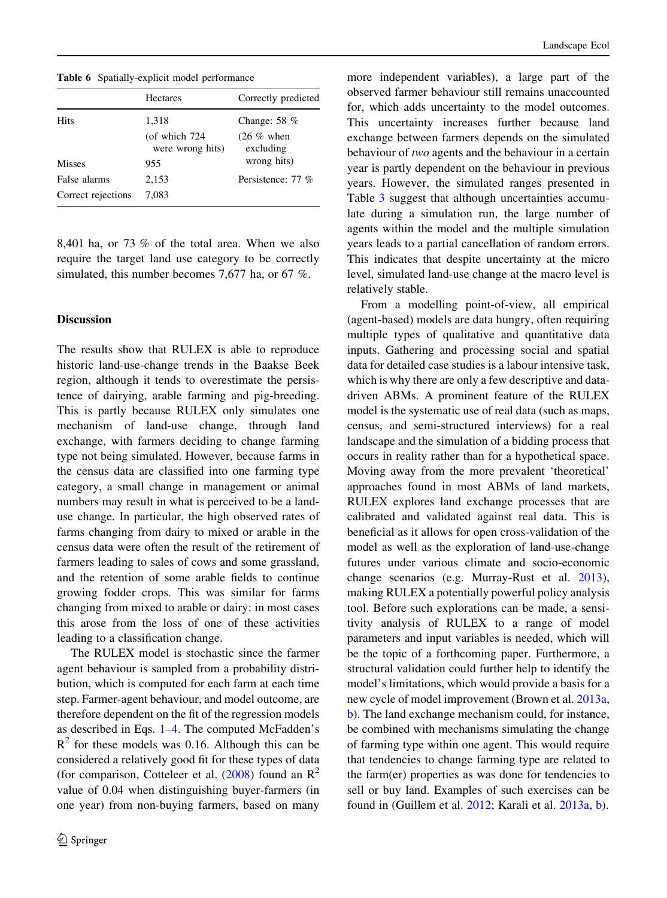<span id="page-11-0"></span>Table 6 Spatially-explicit model performance

|                    | <b>Hectares</b>                    | Correctly predicted        |
|--------------------|------------------------------------|----------------------------|
| <b>Hits</b>        | 1,318                              | Change: 58 $%$             |
|                    | (of which 724)<br>were wrong hits) | $(26 \%$ when<br>excluding |
| <b>Misses</b>      | 955                                | wrong hits)                |
| False alarms       | 2,153                              | Persistence: 77 %          |
| Correct rejections | 7.083                              |                            |
|                    |                                    |                            |

8,401 ha, or 73 % of the total area. When we also require the target land use category to be correctly simulated, this number becomes 7,677 ha, or 67 %.

# Discussion

The results show that RULEX is able to reproduce historic land-use-change trends in the Baakse Beek region, although it tends to overestimate the persistence of dairying, arable farming and pig-breeding. This is partly because RULEX only simulates one mechanism of land-use change, through land exchange, with farmers deciding to change farming type not being simulated. However, because farms in the census data are classified into one farming type category, a small change in management or animal numbers may result in what is perceived to be a landuse change. In particular, the high observed rates of farms changing from dairy to mixed or arable in the census data were often the result of the retirement of farmers leading to sales of cows and some grassland, and the retention of some arable fields to continue growing fodder crops. This was similar for farms changing from mixed to arable or dairy: in most cases this arose from the loss of one of these activities leading to a classification change.

The RULEX model is stochastic since the farmer agent behaviour is sampled from a probability distribution, which is computed for each farm at each time step. Farmer-agent behaviour, and model outcome, are therefore dependent on the fit of the regression models as described in Eqs. [1–4.](#page-6-0) The computed McFadden's  $R<sup>2</sup>$  for these models was 0.16. Although this can be considered a relatively good fit for these types of data (for comparison, Cotteleer et al.  $(2008)$  $(2008)$  found an  $\mathbb{R}^2$ value of 0.04 when distinguishing buyer-farmers (in one year) from non-buying farmers, based on many

more independent variables), a large part of the observed farmer behaviour still remains unaccounted for, which adds uncertainty to the model outcomes. This uncertainty increases further because land exchange between farmers depends on the simulated behaviour of two agents and the behaviour in a certain year is partly dependent on the behaviour in previous years. However, the simulated ranges presented in Table [3](#page-9-0) suggest that although uncertainties accumulate during a simulation run, the large number of agents within the model and the multiple simulation years leads to a partial cancellation of random errors. This indicates that despite uncertainty at the micro level, simulated land-use change at the macro level is relatively stable.

From a modelling point-of-view, all empirical (agent-based) models are data hungry, often requiring multiple types of qualitative and quantitative data inputs. Gathering and processing social and spatial data for detailed case studies is a labour intensive task, which is why there are only a few descriptive and datadriven ABMs. A prominent feature of the RULEX model is the systematic use of real data (such as maps, census, and semi-structured interviews) for a real landscape and the simulation of a bidding process that occurs in reality rather than for a hypothetical space. Moving away from the more prevalent 'theoretical' approaches found in most ABMs of land markets, RULEX explores land exchange processes that are calibrated and validated against real data. This is beneficial as it allows for open cross-validation of the model as well as the exploration of land-use-change futures under various climate and socio-economic change scenarios (e.g. Murray-Rust et al. [2013](#page-13-0)), making RULEX a potentially powerful policy analysis tool. Before such explorations can be made, a sensitivity analysis of RULEX to a range of model parameters and input variables is needed, which will be the topic of a forthcoming paper. Furthermore, a structural validation could further help to identify the model's limitations, which would provide a basis for a new cycle of model improvement (Brown et al. [2013a,](#page-13-0) [b\)](#page-13-0). The land exchange mechanism could, for instance, be combined with mechanisms simulating the change of farming type within one agent. This would require that tendencies to change farming type are related to the farm(er) properties as was done for tendencies to sell or buy land. Examples of such exercises can be found in (Guillem et al. [2012](#page-13-0); Karali et al. [2013a,](#page-13-0) [b\)](#page-13-0).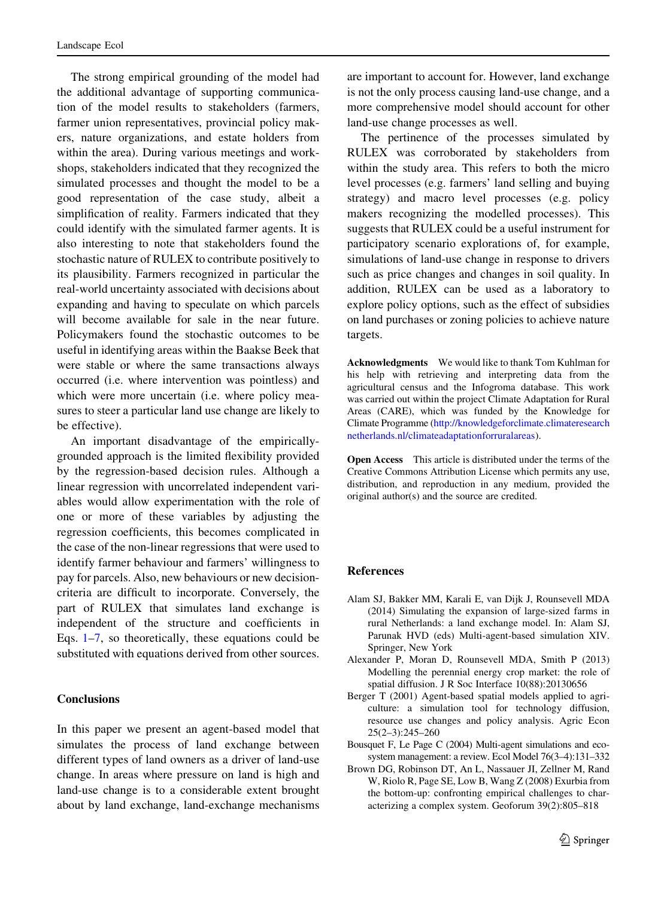<span id="page-12-0"></span>The strong empirical grounding of the model had the additional advantage of supporting communication of the model results to stakeholders (farmers, farmer union representatives, provincial policy makers, nature organizations, and estate holders from within the area). During various meetings and workshops, stakeholders indicated that they recognized the simulated processes and thought the model to be a good representation of the case study, albeit a simplification of reality. Farmers indicated that they could identify with the simulated farmer agents. It is also interesting to note that stakeholders found the stochastic nature of RULEX to contribute positively to its plausibility. Farmers recognized in particular the real-world uncertainty associated with decisions about expanding and having to speculate on which parcels will become available for sale in the near future. Policymakers found the stochastic outcomes to be useful in identifying areas within the Baakse Beek that were stable or where the same transactions always occurred (i.e. where intervention was pointless) and which were more uncertain (i.e. where policy measures to steer a particular land use change are likely to be effective).

An important disadvantage of the empiricallygrounded approach is the limited flexibility provided by the regression-based decision rules. Although a linear regression with uncorrelated independent variables would allow experimentation with the role of one or more of these variables by adjusting the regression coefficients, this becomes complicated in the case of the non-linear regressions that were used to identify farmer behaviour and farmers' willingness to pay for parcels. Also, new behaviours or new decisioncriteria are difficult to incorporate. Conversely, the part of RULEX that simulates land exchange is independent of the structure and coefficients in Eqs. [1](#page-6-0)[–7](#page-7-0), so theoretically, these equations could be substituted with equations derived from other sources.

# Conclusions

In this paper we present an agent-based model that simulates the process of land exchange between different types of land owners as a driver of land-use change. In areas where pressure on land is high and land-use change is to a considerable extent brought about by land exchange, land-exchange mechanisms

are important to account for. However, land exchange is not the only process causing land-use change, and a more comprehensive model should account for other land-use change processes as well.

The pertinence of the processes simulated by RULEX was corroborated by stakeholders from within the study area. This refers to both the micro level processes (e.g. farmers' land selling and buying strategy) and macro level processes (e.g. policy makers recognizing the modelled processes). This suggests that RULEX could be a useful instrument for participatory scenario explorations of, for example, simulations of land-use change in response to drivers such as price changes and changes in soil quality. In addition, RULEX can be used as a laboratory to explore policy options, such as the effect of subsidies on land purchases or zoning policies to achieve nature targets.

Acknowledgments We would like to thank Tom Kuhlman for his help with retrieving and interpreting data from the agricultural census and the Infogroma database. This work was carried out within the project Climate Adaptation for Rural Areas (CARE), which was funded by the Knowledge for Climate Programme [\(http://knowledgeforclimate.climateresearch](http://knowledgeforclimate.climateresearchnetherlands.nl/climateadaptationforruralareas) [netherlands.nl/climateadaptationforruralareas](http://knowledgeforclimate.climateresearchnetherlands.nl/climateadaptationforruralareas)).

Open Access This article is distributed under the terms of the Creative Commons Attribution License which permits any use, distribution, and reproduction in any medium, provided the original author(s) and the source are credited.

# References

- Alam SJ, Bakker MM, Karali E, van Dijk J, Rounsevell MDA (2014) Simulating the expansion of large-sized farms in rural Netherlands: a land exchange model. In: Alam SJ, Parunak HVD (eds) Multi-agent-based simulation XIV. Springer, New York
- Alexander P, Moran D, Rounsevell MDA, Smith P (2013) Modelling the perennial energy crop market: the role of spatial diffusion. J R Soc Interface 10(88):20130656
- Berger T (2001) Agent-based spatial models applied to agriculture: a simulation tool for technology diffusion, resource use changes and policy analysis. Agric Econ 25(2–3):245–260
- Bousquet F, Le Page C (2004) Multi-agent simulations and ecosystem management: a review. Ecol Model 76(3–4):131–332
- Brown DG, Robinson DT, An L, Nassauer JI, Zellner M, Rand W, Riolo R, Page SE, Low B, Wang Z (2008) Exurbia from the bottom-up: confronting empirical challenges to characterizing a complex system. Geoforum 39(2):805–818